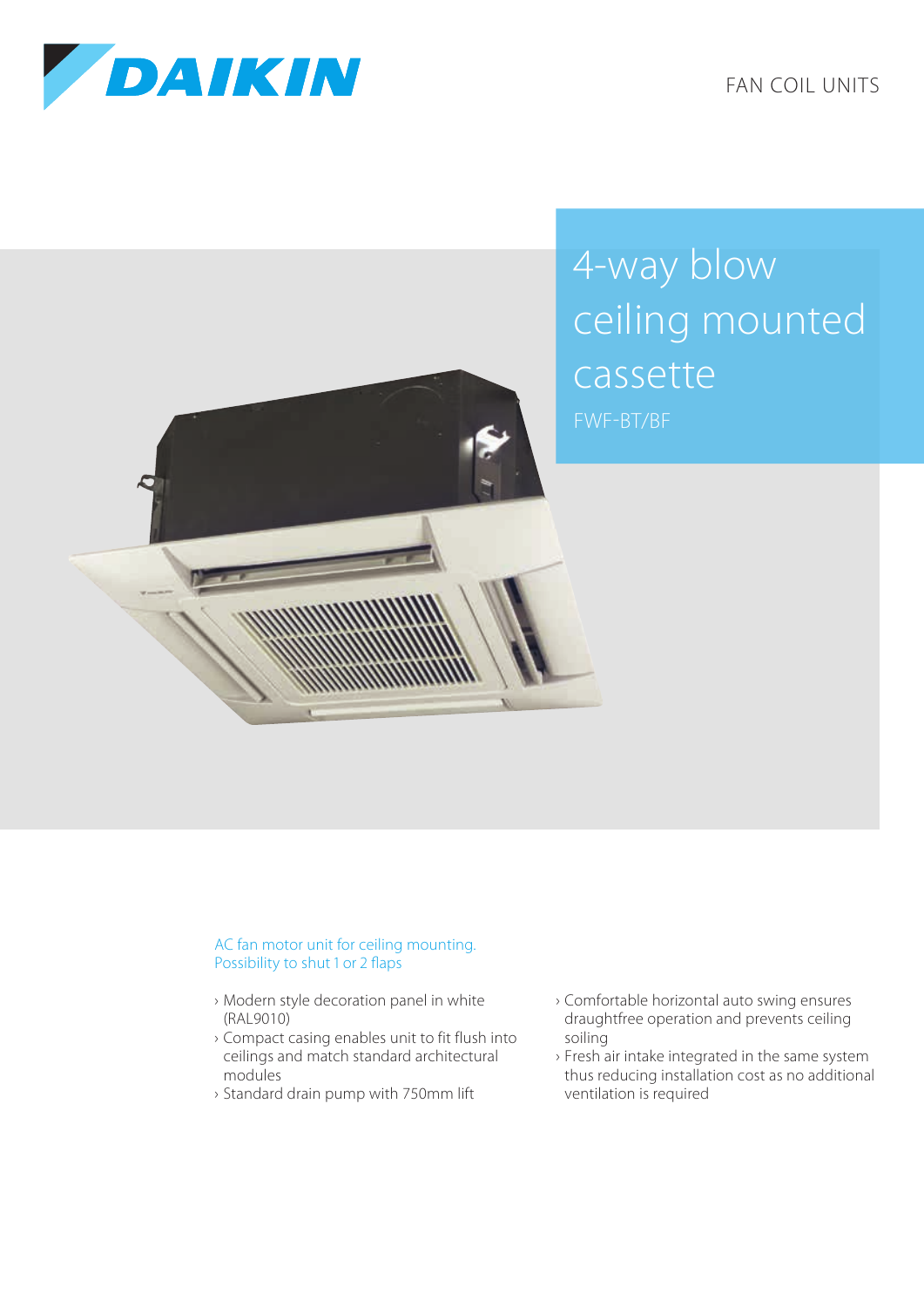

FAN COIL UNITS

4-way blow ceiling mounted cassette FWF-BT/BF

## AC fan motor unit for ceiling mounting. Possibility to shut 1 or 2 flaps

- › Modern style decoration panel in white (RAL9010)
- › Compact casing enables unit to fit flush into ceilings and match standard architectural modules
- › Standard drain pump with 750mm lift
- › Comfortable horizontal auto swing ensures draughtfree operation and prevents ceiling soiling
- › Fresh air intake integrated in the same system thus reducing installation cost as no additional ventilation is required